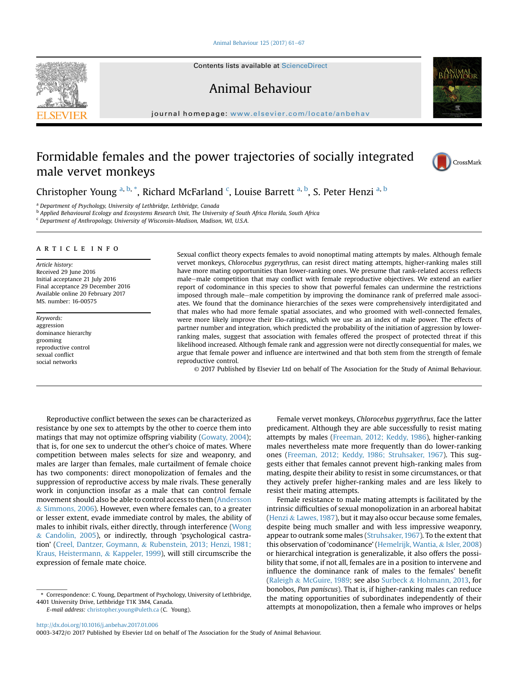#### [Animal Behaviour 125 \(2017\) 61](http://dx.doi.org/10.1016/j.anbehav.2017.01.006)-[67](http://dx.doi.org/10.1016/j.anbehav.2017.01.006)

Contents lists available at ScienceDirect

Animal Behaviour

journal homepage: [www.elsevier.com/locate/anbehav](http://www.elsevier.com/locate/anbehav)

# Formidable females and the power trajectories of socially integrated male vervet monkeys



Christopher Young <sup>a, b,</sup> \*, Richard McFarland <sup>c</sup>, Louise Barrett <sup>a, b</sup>, S. Peter Henzi <sup>a, b</sup>

<sup>a</sup> Department of Psychology, University of Lethbridge, Lethbridge, Canada

<sup>b</sup> Applied Behavioural Ecology and Ecosystems Research Unit, The University of South Africa Florida, South Africa

<sup>c</sup> Department of Anthropology, University of Wisconsin-Madison, Madison, WI, U.S.A.

# article info

Article history: Received 29 June 2016 Initial acceptance 21 July 2016 Final acceptance 29 December 2016 Available online 20 February 2017 MS. number: 16-00575

Keywords: aggression dominance hierarchy grooming reproductive control sexual conflict social networks

Sexual conflict theory expects females to avoid nonoptimal mating attempts by males. Although female vervet monkeys, Chlorocebus pygerythrus, can resist direct mating attempts, higher-ranking males still have more mating opportunities than lower-ranking ones. We presume that rank-related access reflects male-male competition that may conflict with female reproductive objectives. We extend an earlier report of codominance in this species to show that powerful females can undermine the restrictions imposed through male–male competition by improving the dominance rank of preferred male associates. We found that the dominance hierarchies of the sexes were comprehensively interdigitated and that males who had more female spatial associates, and who groomed with well-connected females, were more likely improve their Elo-ratings, which we use as an index of male power. The effects of partner number and integration, which predicted the probability of the initiation of aggression by lowerranking males, suggest that association with females offered the prospect of protected threat if this likelihood increased. Although female rank and aggression were not directly consequential for males, we argue that female power and influence are intertwined and that both stem from the strength of female reproductive control.

© 2017 Published by Elsevier Ltd on behalf of The Association for the Study of Animal Behaviour.

Reproductive conflict between the sexes can be characterized as resistance by one sex to attempts by the other to coerce them into matings that may not optimize offspring viability [\(Gowaty, 2004\)](#page-6-0); that is, for one sex to undercut the other's choice of mates. Where competition between males selects for size and weaponry, and males are larger than females, male curtailment of female choice has two components: direct monopolization of females and the suppression of reproductive access by male rivals. These generally work in conjunction insofar as a male that can control female movement should also be able to control access to them ([Andersson](#page-6-0) & [Simmons, 2006\)](#page-6-0). However, even where females can, to a greater or lesser extent, evade immediate control by males, the ability of males to inhibit rivals, either directly, through interference [\(Wong](#page-6-0) & [Candolin, 2005](#page-6-0)), or indirectly, through 'psychological castration' ([Creel, Dantzer, Goymann,](#page-6-0) & [Rubenstein, 2013; Henzi, 1981;](#page-6-0) [Kraus, Heistermann,](#page-6-0) & [Kappeler, 1999\)](#page-6-0), will still circumscribe the expression of female mate choice.

\* Correspondence: C. Young, Department of Psychology, University of Lethbridge, 4401 University Drive, Lethbridge T1K 3M4, Canada.

E-mail address: [christopher.young@uleth.ca](mailto:christopher.young@uleth.ca) (C. Young).

Female vervet monkeys, Chlorocebus pygerythrus, face the latter predicament. Although they are able successfully to resist mating attempts by males [\(Freeman, 2012; Keddy, 1986\)](#page-6-0), higher-ranking males nevertheless mate more frequently than do lower-ranking ones [\(Freeman, 2012; Keddy, 1986; Struhsaker, 1967\)](#page-6-0). This suggests either that females cannot prevent high-ranking males from mating, despite their ability to resist in some circumstances, or that they actively prefer higher-ranking males and are less likely to resist their mating attempts.

Female resistance to male mating attempts is facilitated by the intrinsic difficulties of sexual monopolization in an arboreal habitat ([Henzi](#page-6-0) & [Lawes, 1987](#page-6-0)), but it may also occur because some females, despite being much smaller and with less impressive weaponry, appear to outrank some males ([Struhsaker, 1967](#page-6-0)). To the extent that this observation of 'codominance' [\(Hemelrijk, Wantia,](#page-6-0) & [Isler, 2008\)](#page-6-0) or hierarchical integration is generalizable, it also offers the possibility that some, if not all, females are in a position to intervene and influence the dominance rank of males to the females' benefit ([Raleigh](#page-6-0) & [McGuire, 1989](#page-6-0); see also [Surbeck](#page-6-0) & [Hohmann, 2013](#page-6-0), for bonobos, Pan paniscus). That is, if higher-ranking males can reduce the mating opportunities of subordinates independently of their attempts at monopolization, then a female who improves or helps



<http://dx.doi.org/10.1016/j.anbehav.2017.01.006>

<sup>0003-3472/</sup>© 2017 Published by Elsevier Ltd on behalf of The Association for the Study of Animal Behaviour.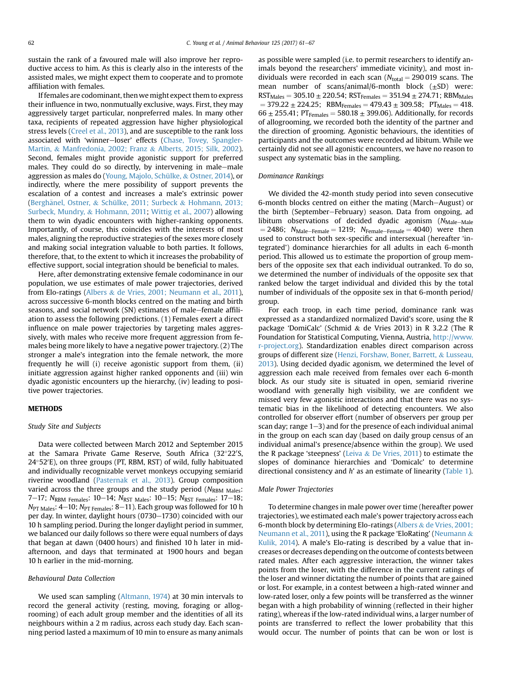sustain the rank of a favoured male will also improve her reproductive access to him. As this is clearly also in the interests of the assisted males, we might expect them to cooperate and to promote affiliation with females.

If females are codominant, thenwe might expect them to express their influence in two, nonmutually exclusive, ways. First, they may aggressively target particular, nonpreferred males. In many other taxa, recipients of repeated aggression have higher physiological stress levels [\(Creel et al., 2013\)](#page-6-0), and are susceptible to the rank loss associated with 'winner-loser' effects [\(Chase, Tovey, Spangler-](#page-6-0)[Martin,](#page-6-0) & [Manfredonia, 2002; Franz](#page-6-0) & [Alberts, 2015; Silk, 2002\)](#page-6-0). Second, females might provide agonistic support for preferred males. They could do so directly, by intervening in male-male aggression as males do [\(Young, Majolo, Schülke,](#page-6-0) & [Ostner, 2014](#page-6-0)), or indirectly, where the mere possibility of support prevents the escalation of a contest and increases a male's extrinsic power (Berghänel, Ostner, & [Schülke, 2011; Surbeck](#page-6-0) & [Hohmann, 2013;](#page-6-0) [Surbeck, Mundry,](#page-6-0) & [Hohmann, 2011](#page-6-0); [Wittig et al., 2007\)](#page-6-0) allowing them to win dyadic encounters with higher-ranking opponents. Importantly, of course, this coincides with the interests of most males, aligning the reproductive strategies of the sexes more closely and making social integration valuable to both parties. It follows, therefore, that, to the extent to which it increases the probability of effective support, social integration should be beneficial to males.

Here, after demonstrating extensive female codominance in our population, we use estimates of male power trajectories, derived from Elo-ratings ([Albers](#page-6-0) & [de Vries, 2001; Neumann et al., 2011\)](#page-6-0), across successive 6-month blocks centred on the mating and birth seasons, and social network (SN) estimates of male–female affiliation to assess the following predictions. (1) Females exert a direct influence on male power trajectories by targeting males aggressively, with males who receive more frequent aggression from females being more likely to have a negative power trajectory. (2) The stronger a male's integration into the female network, the more frequently he will (i) receive agonistic support from them, (ii) initiate aggression against higher ranked opponents and (iii) win dyadic agonistic encounters up the hierarchy, (iv) leading to positive power trajectories.

# **METHODS**

# Study Site and Subjects

Data were collected between March 2012 and September 2015 at the Samara Private Game Reserve, South Africa (32°22′S, 24°52′E), on three groups (PT, RBM, RST) of wild, fully habituated and individually recognizable vervet monkeys occupying semiarid riverine woodland [\(Pasternak et al., 2013](#page-6-0)). Group composition varied across the three groups and the study period (NRBM Males: 7-17;  $N_{RBM}$  Females: 10-14;  $N_{RST}$  Males: 10-15;  $N_{RST}$  Females: 17-18;  $N_{\text{PT Males}}$ : 4-10;  $N_{\text{PT Females}}$ : 8-11). Each group was followed for 10 h per day. In winter, daylight hours (0730-1730) coincided with our 10 h sampling period. During the longer daylight period in summer, we balanced our daily follows so there were equal numbers of days that began at dawn (0400 hours) and finished 10 h later in midafternoon, and days that terminated at 1900 hours and began 10 h earlier in the mid-morning.

# Behavioural Data Collection

We used scan sampling [\(Altmann, 1974](#page-6-0)) at 30 min intervals to record the general activity (resting, moving, foraging or allogrooming) of each adult group member and the identities of all its neighbours within a 2 m radius, across each study day. Each scanning period lasted a maximum of 10 min to ensure as many animals as possible were sampled (i.e. to permit researchers to identify animals beyond the researchers' immediate vicinity), and most individuals were recorded in each scan  $(N_{total} = 290019$  scans. The mean number of scans/animal/6-month block  $(\pm SD)$  were:  $RST_{\text{Males}} = 305.10 \pm 220.54$ ;  $RST_{\text{Females}} = 351.94 \pm 274.71$ ;  $RBM_{\text{Males}}$  $=$  379.22  $\pm$  224.25; RBM<sub>Females</sub>  $=$  479.43  $\pm$  309.58; PT<sub>Males</sub>  $=$  418.  $66 \pm 255.41$ ; PT<sub>Females</sub> = 580.18  $\pm$  399.06). Additionally, for records of allogrooming, we recorded both the identity of the partner and the direction of grooming. Agonistic behaviours, the identities of participants and the outcomes were recorded ad libitum. While we certainly did not see all agonistic encounters, we have no reason to suspect any systematic bias in the sampling.

#### Dominance Rankings

We divided the 42-month study period into seven consecutive 6-month blocks centred on either the mating (March-August) or the birth (September–February) season. Data from ongoing, ad libitum observations of decided dyadic agonism  $(N_{\text{Male}-\text{Male}})$  $= 2486$ ;  $N_{Male-Female} = 1219$ ;  $N_{Female-Female} = 4040$ ) were then used to construct both sex-specific and intersexual (hereafter 'integrated') dominance hierarchies for all adults in each 6-month period. This allowed us to estimate the proportion of group members of the opposite sex that each individual outranked. To do so, we determined the number of individuals of the opposite sex that ranked below the target individual and divided this by the total number of individuals of the opposite sex in that 6-month period/ group.

For each troop, in each time period, dominance rank was expressed as a standardized normalized David's score, using the R package 'DomiCalc' (Schmid & de Vries 2013) in R 3.2.2 (The R Foundation for Statistical Computing, Vienna, Austria, [http://www.](http://www.r-project.org) [r-project.org](http://www.r-project.org)). Standardization enables direct comparison across groups of different size [\(Henzi, Forshaw, Boner, Barrett,](#page-6-0) & [Lusseau,](#page-6-0) [2013\)](#page-6-0). Using decided dyadic agonism, we determined the level of aggression each male received from females over each 6-month block. As our study site is situated in open, semiarid riverine woodland with generally high visibility, we are confident we missed very few agonistic interactions and that there was no systematic bias in the likelihood of detecting encounters. We also controlled for observer effort (number of observers per group per scan day; range  $1-3$ ) and for the presence of each individual animal in the group on each scan day (based on daily group census of an individual animal's presence/absence within the group). We used the R package 'steepness' ([Leiva](#page-6-0) & [De Vries, 2011](#page-6-0)) to estimate the slopes of dominance hierarchies and 'Domicalc' to determine directional consistency and  $h$ ' as an estimate of linearity [\(Table 1\)](#page-2-0).

# Male Power Trajectories

To determine changes in male power over time (hereafter power trajectories), we estimated each male's power trajectory across each 6-month block by determining Elo-ratings ([Albers](#page-6-0) & [de Vries, 2001;](#page-6-0) [Neumann et al., 2011](#page-6-0)), using the R package 'EloRating' ([Neumann](#page-6-0) & [Kulik, 2014\)](#page-6-0). A male's Elo-rating is described by a value that increases or decreases depending on the outcome of contests between rated males. After each aggressive interaction, the winner takes points from the loser, with the difference in the current ratings of the loser and winner dictating the number of points that are gained or lost. For example, in a contest between a high-rated winner and low-rated loser, only a few points will be transferred as the winner began with a high probability of winning (reflected in their higher rating), whereas if the low-rated individual wins, a larger number of points are transferred to reflect the lower probability that this would occur. The number of points that can be won or lost is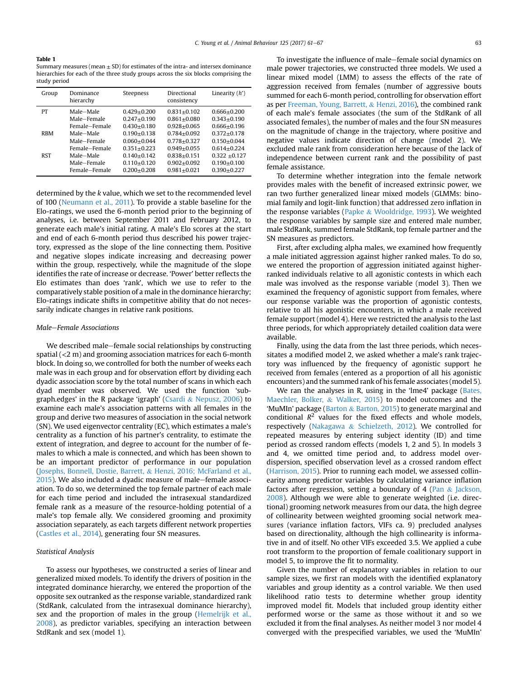<span id="page-2-0"></span>Table 1 Summary measures (mean  $\pm$  SD) for estimates of the intra- and intersex dominance

| study period                                                                                             |
|----------------------------------------------------------------------------------------------------------|
| hierarchies for each of the three study groups across the six blocks comprising the                      |
| $\alpha$ and $\alpha$ in casules (file all $\pm$ 3D ) for estimates of the filtra-and intersex dominance |

| Group      | Dominance<br>hierarchy | Steepness       | Directional<br>consistency | Linearity $(h')$ |
|------------|------------------------|-----------------|----------------------------|------------------|
| PT         | Male-Male              | $0.429 + 0.200$ | $0.831 + 0.102$            | $0.666 + 0.200$  |
|            | Male-Female            | $0.247 + 0.190$ | $0.861 + 0.080$            | $0.343 + 0.190$  |
|            | Female-Female          | $0.430 + 0.180$ | $0.928 + 0.065$            | $0.666 + 0.196$  |
| <b>RBM</b> | Male-Male              | $0.190 + 0.138$ | $0.784 + 0.092$            | $0.372 + 0.178$  |
|            | Male-Female            | $0.060 + 0.044$ | $0.778 + 0.327$            | $0.150 + 0.044$  |
|            | Female-Female          | $0.351 + 0.223$ | $0.949 + 0.055$            | $0.614 + 0.224$  |
| <b>RST</b> | Male-Male              | $0.140 + 0.142$ | $0.838 + 0.151$            | $0.322 + 0.127$  |
|            | Male-Female            | $0.110 + 0.120$ | $0.902 + 0.092$            | $0.190 + 0.100$  |
|            | Female-Female          | $0.200 + 0.208$ | $0.981 + 0.021$            | $0.390 + 0.227$  |

determined by the k value, which we set to the recommended level of 100 [\(Neumann et al., 2011](#page-6-0)). To provide a stable baseline for the Elo-ratings, we used the 6-month period prior to the beginning of analyses, i.e. between September 2011 and February 2012, to generate each male's initial rating. A male's Elo scores at the start and end of each 6-month period thus described his power trajectory, expressed as the slope of the line connecting them. Positive and negative slopes indicate increasing and decreasing power within the group, respectively, while the magnitude of the slope identifies the rate of increase or decrease. 'Power' better reflects the Elo estimates than does 'rank', which we use to refer to the comparatively stable position of a male in the dominance hierarchy; Elo-ratings indicate shifts in competitive ability that do not necessarily indicate changes in relative rank positions.

## Male-Female Associations

We described male-female social relationships by constructing spatial (<2 m) and grooming association matrices for each 6-month block. In doing so, we controlled for both the number of weeks each male was in each group and for observation effort by dividing each dyadic association score by the total number of scans in which each dyad member was observed. We used the function 'subgraph.edges' in the R package 'igraph' ([Csardi](#page-6-0) & [Nepusz, 2006](#page-6-0)) to examine each male's association patterns with all females in the group and derive two measures of association in the social network (SN). We used eigenvector centrality (EC), which estimates a male's centrality as a function of his partner's centrality, to estimate the extent of integration, and degree to account for the number of females to which a male is connected, and which has been shown to be an important predictor of performance in our population ([Josephs, Bonnell, Dostie, Barrett,](#page-6-0) & [Henzi, 2016; McFarland et al.,](#page-6-0)  $2015$ ). We also included a dyadic measure of male-female association. To do so, we determined the top female partner of each male for each time period and included the intrasexual standardized female rank as a measure of the resource-holding potential of a male's top female ally. We considered grooming and proximity association separately, as each targets different network properties ([Castles et al., 2014](#page-6-0)), generating four SN measures.

# Statistical Analysis

To assess our hypotheses, we constructed a series of linear and generalized mixed models. To identify the drivers of position in the integrated dominance hierarchy, we entered the proportion of the opposite sex outranked as the response variable, standardized rank (StdRank, calculated from the intrasexual dominance hierarchy), sex and the proportion of males in the group ([Hemelrijk et al.,](#page-6-0) [2008\)](#page-6-0), as predictor variables, specifying an interaction between StdRank and sex (model 1).

To investigate the influence of male–female social dynamics on male power trajectories, we constructed three models. We used a linear mixed model (LMM) to assess the effects of the rate of aggression received from females (number of aggressive bouts summed for each 6-month period, controlling for observation effort as per [Freeman, Young, Barrett,](#page-6-0) & [Henzi, 2016](#page-6-0)), the combined rank of each male's female associates (the sum of the StdRank of all associated females), the number of males and the four SN measures on the magnitude of change in the trajectory, where positive and negative values indicate direction of change (model 2). We excluded male rank from consideration here because of the lack of independence between current rank and the possibility of past female assistance.

To determine whether integration into the female network provides males with the benefit of increased extrinsic power, we ran two further generalized linear mixed models (GLMMs: binomial family and logit-link function) that addressed zero inflation in the response variables ([Papke](#page-6-0) & [Wooldridge, 1993](#page-6-0)). We weighted the response variables by sample size and entered male number, male StdRank, summed female StdRank, top female partner and the SN measures as predictors.

First, after excluding alpha males, we examined how frequently a male initiated aggression against higher ranked males. To do so, we entered the proportion of aggression initiated against higherranked individuals relative to all agonistic contests in which each male was involved as the response variable (model 3). Then we examined the frequency of agonistic support from females, where our response variable was the proportion of agonistic contests, relative to all his agonistic encounters, in which a male received female support (model 4). Here we restricted the analysis to the last three periods, for which appropriately detailed coalition data were available.

Finally, using the data from the last three periods, which necessitates a modified model 2, we asked whether a male's rank trajectory was influenced by the frequency of agonistic support he received from females (entered as a proportion of all his agonistic encounters) and the summed rank of his female associates (model 5).

We ran the analyses in R, using in the 'lme4' package ([Bates,](#page-6-0) [Maechler, Bolker,](#page-6-0) & [Walker, 2015\)](#page-6-0) to model outcomes and the 'MuMIn' package ([Barton](#page-6-0) & [Barton, 2015](#page-6-0)) to generate marginal and conditional  $R^2$  values for the fixed effects and whole models, respectively [\(Nakagawa](#page-6-0) & [Schielzeth, 2012](#page-6-0)). We controlled for repeated measures by entering subject identity (ID) and time period as crossed random effects (models 1, 2 and 5). In models 3 and 4, we omitted time period and, to address model overdispersion, specified observation level as a crossed random effect ([Harrison, 2015\)](#page-6-0). Prior to running each model, we assessed collinearity among predictor variables by calculating variance inflation factors after regression, setting a boundary of 4 ([Pan](#page-6-0)  $\&$  [Jackson,](#page-6-0) [2008\)](#page-6-0). Although we were able to generate weighted (i.e. directional) grooming network measures from our data, the high degree of collinearity between weighted grooming social network measures (variance inflation factors, VIFs ca. 9) precluded analyses based on directionality, although the high collinearity is informative in and of itself. No other VIFs exceeded 3.5. We applied a cube root transform to the proportion of female coalitionary support in model 5, to improve the fit to normality.

Given the number of explanatory variables in relation to our sample sizes, we first ran models with the identified explanatory variables and group identity as a control variable. We then used likelihood ratio tests to determine whether group identity improved model fit. Models that included group identity either performed worse or the same as those without it and so we excluded it from the final analyses. As neither model 3 nor model 4 converged with the prespecified variables, we used the 'MuMIn'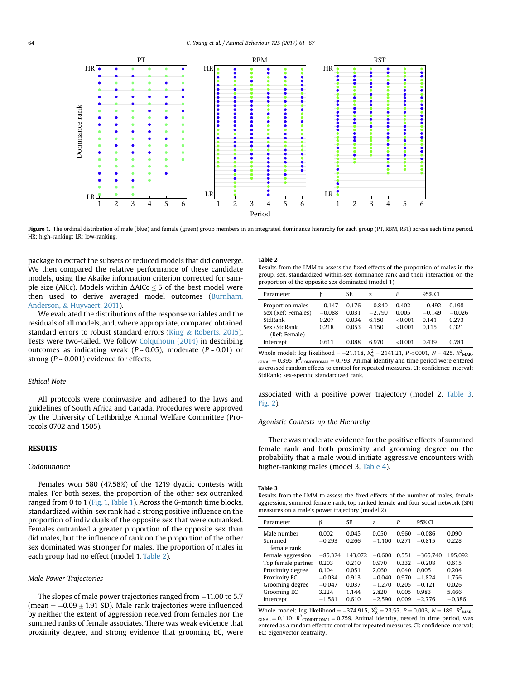

Figure 1. The ordinal distribution of male (blue) and female (green) group members in an integrated dominance hierarchy for each group (PT, RBM, RST) across each time period. HR: high-ranking; LR: low-ranking.

package to extract the subsets of reduced models that did converge. We then compared the relative performance of these candidate models, using the Akaike information criterion corrected for sample size (AICc). Models within  $\Delta AICc < 5$  of the best model were then used to derive averaged model outcomes ([Burnham,](#page-6-0) [Anderson,](#page-6-0) & [Huyvaert, 2011](#page-6-0)).

We evaluated the distributions of the response variables and the residuals of all models, and, where appropriate, compared obtained standard errors to robust standard errors [\(King](#page-6-0) & [Roberts, 2015\)](#page-6-0). Tests were two-tailed. We follow [Colquhoun \(2014\)](#page-6-0) in describing outcomes as indicating weak ( $P \sim 0.05$ ), moderate ( $P \sim 0.01$ ) or strong ( $P \sim 0.001$ ) evidence for effects.

## Ethical Note

All protocols were noninvasive and adhered to the laws and guidelines of South Africa and Canada. Procedures were approved by the University of Lethbridge Animal Welfare Committee (Protocols 0702 and 1505).

# **RESULTS**

# Codominance

Females won 580 (47.58%) of the 1219 dyadic contests with males. For both sexes, the proportion of the other sex outranked ranged from 0 to 1 (Fig. 1, [Table 1\)](#page-2-0). Across the 6-month time blocks, standardized within-sex rank had a strong positive influence on the proportion of individuals of the opposite sex that were outranked. Females outranked a greater proportion of the opposite sex than did males, but the influence of rank on the proportion of the other sex dominated was stronger for males. The proportion of males in each group had no effect (model 1, Table 2).

# Male Power Trajectories

The slopes of male power trajectories ranged from  $-11.00$  to 5.7 (mean  $= -0.09 \pm 1.91$  SD). Male rank trajectories were influenced by neither the extent of aggression received from females nor the summed ranks of female associates. There was weak evidence that proximity degree, and strong evidence that grooming EC, were

# Table 2

Results from the LMM to assess the fixed effects of the proportion of males in the group, sex, standardized within-sex dominance rank and their interaction on the proportion of the opposite sex dominated (model 1)

| Parameter                                         | ß                             | SE.                     | Z                            | P                        | 95% CI                       |                            |
|---------------------------------------------------|-------------------------------|-------------------------|------------------------------|--------------------------|------------------------------|----------------------------|
| Proportion males<br>Sex (Ref: Females)<br>StdRank | $-0.147$<br>$-0.088$<br>0.207 | 0.176<br>0.031<br>0.034 | $-0.840$<br>$-2.790$<br>6150 | 0.402<br>0.005<br><0.001 | $-0.492$<br>$-0.149$<br>0141 | 0.198<br>$-0.026$<br>0.273 |
| Sex * StdRank<br>(Ref: Female)                    | 0.218                         | 0.053                   | 4 1 5 0                      | <0.001                   | 0.115                        | 0.321                      |
| Intercept                                         | 0.611                         | 0.088                   | 6.970                        | 001 - ح                  | 0439                         | 0.783                      |

Whole model:  $\log$  likelihood = -21.118,  $X_4^2 = 2141.21$ ,  $P < 0001$ ,  $N = 425$ .  $R_{\text{MAR}}^2$ .  $GINAL = 0.395$ ;  $R^2$ <sub>CONDITIONAL</sub> = 0.793. Animal identity and time period were entered as crossed random effects to control for repeated measures. CI: confidence interval; StdRank: sex-specific standardized rank.

associated with a positive power trajectory (model 2, Table 3, [Fig. 2\)](#page-4-0).

# Agonistic Contests up the Hierarchy

There was moderate evidence for the positive effects of summed female rank and both proximity and grooming degree on the probability that a male would initiate aggressive encounters with higher-ranking males (model 3, [Table 4\)](#page-4-0).

#### Table 3

Results from the LMM to assess the fixed effects of the number of males, female aggression, summed female rank, top ranked female and four social network (SN) measures on a male's power trajectory (model 2)

| Parameter          | ß         | SE.     | Z.       | P       | 95% CI     |          |
|--------------------|-----------|---------|----------|---------|------------|----------|
| Male number        | 0.002     | 0.045   | 0.050    | 0.960   | $-0.086$   | 0.090    |
| Summed             | $-0.293$  | 0.266   | $-1.100$ | 0 2 7 1 | $-0.815$   | 0.228    |
| female rank        |           |         |          |         |            |          |
| Female aggression  | $-85.324$ | 143.072 | $-0.600$ | 0551    | $-365.740$ | 195.092  |
| Top female partner | 0.203     | 0.210   | 0.970    | 0.332   | $-0.208$   | 0.615    |
| Proximity degree   | 0.104     | 0.051   | 2.060    | 0.040   | 0.005      | 0.204    |
| Proximity EC       | $-0.034$  | 0.913   | $-0.040$ | 0.970   | $-1824$    | 1.756    |
| Grooming degree    | $-0.047$  | 0.037   | $-1.270$ | 0.205   | $-0.121$   | 0.026    |
| Grooming EC        | 3.224     | 1.144   | 2.820    | 0.005   | 0.983      | 5.466    |
| Intercept          | $-1.581$  | 0.610   | $-2.590$ | 0.009   | $-2.776$   | $-0.386$ |

Whole model:  $log$  likelihood = -374.915,  $X_8^2 = 23.55$ ,  $P = 0.003$ ,  $N = 189$ .  $R^2$ <sub>MAR</sub>.  $GINAL = 0.110$ ;  $R^2$ <sub>CONDITIONAL</sub> = 0.759. Animal identity, nested in time period, was entered as a random effect to control for repeated measures. CI: confidence interval; EC: eigenvector centrality.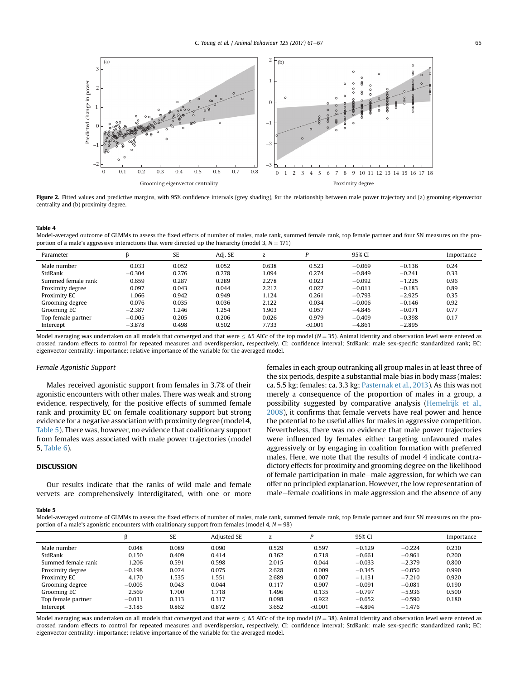<span id="page-4-0"></span>

Figure 2. Fitted values and predictive margins, with 95% confidence intervals (grey shading), for the relationship between male power trajectory and (a) grooming eigenvector centrality and (b) proximity degree.

Table 4

Model-averaged outcome of GLMMs to assess the fixed effects of number of males, male rank, summed female rank, top female partner and four SN measures on the proportion of a male's aggressive interactions that were directed up the hierarchy (model 3,  $N = 171$ )

| Parameter          |          | <b>SE</b> | Adi. SE | z     |         | 95% CI   |          | Importance |
|--------------------|----------|-----------|---------|-------|---------|----------|----------|------------|
| Male number        | 0.033    | 0.052     | 0.052   | 0.638 | 0.523   | $-0.069$ | $-0.136$ | 0.24       |
| StdRank            | $-0.304$ | 0.276     | 0.278   | 1.094 | 0.274   | $-0.849$ | $-0.241$ | 0.33       |
| Summed female rank | 0.659    | 0.287     | 0.289   | 2.278 | 0.023   | $-0.092$ | $-1.225$ | 0.96       |
| Proximity degree   | 0.097    | 0.043     | 0.044   | 2.212 | 0.027   | $-0.011$ | $-0.183$ | 0.89       |
| Proximity EC       | 1.066    | 0.942     | 0.949   | 1.124 | 0.261   | $-0.793$ | $-2.925$ | 0.35       |
| Grooming degree    | 0.076    | 0.035     | 0.036   | 2.122 | 0.034   | $-0.006$ | $-0.146$ | 0.92       |
| Grooming EC        | $-2.387$ | 1.246     | .254    | 1.903 | 0.057   | $-4.845$ | $-0.071$ | 0.77       |
| Top female partner | $-0.005$ | 0.205     | 0.206   | 0.026 | 0.979   | $-0.409$ | $-0.398$ | 0.17       |
| Intercept          | $-3.878$ | 0.498     | 0.502   | 7.733 | < 0.001 | $-4.861$ | $-2.895$ |            |

Model averaging was undertaken on all models that converged and that were  $\leq$   $\Delta$ 5 AICc of the top model (N = 35). Animal identity and observation level were entered as crossed random effects to control for repeated measures and overdispersion, respectively. CI: confidence interval; StdRank: male sex-specific standardized rank; EC: eigenvector centrality; importance: relative importance of the variable for the averaged model.

# Female Agonistic Support

Males received agonistic support from females in 3.7% of their agonistic encounters with other males. There was weak and strong evidence, respectively, for the positive effects of summed female rank and proximity EC on female coalitionary support but strong evidence for a negative association with proximity degree (model 4, Table 5). There was, however, no evidence that coalitionary support from females was associated with male power trajectories (model 5, [Table 6\)](#page-5-0).

# DISCUSSION

Our results indicate that the ranks of wild male and female vervets are comprehensively interdigitated, with one or more females in each group outranking all group males in at least three of the six periods, despite a substantial male bias in body mass (males: ca. 5.5 kg; females: ca. 3.3 kg; [Pasternak et al., 2013](#page-6-0)). As this was not merely a consequence of the proportion of males in a group, a possibility suggested by comparative analysis ([Hemelrijk et al.,](#page-6-0) [2008\)](#page-6-0), it confirms that female vervets have real power and hence the potential to be useful allies for males in aggressive competition. Nevertheless, there was no evidence that male power trajectories were influenced by females either targeting unfavoured males aggressively or by engaging in coalition formation with preferred males. Here, we note that the results of model 4 indicate contradictory effects for proximity and grooming degree on the likelihood of female participation in male–male aggression, for which we can offer no principled explanation. However, the low representation of male–female coalitions in male aggression and the absence of any

#### Table 5

Model-averaged outcome of GLMMs to assess the fixed effects of number of males, male rank, summed female rank, top female partner and four SN measures on the proportion of a male's agonistic encounters with coalitionary support from females (model 4,  $N = 98$ )

|                    |          | SE    | <b>Adiusted SE</b> | Z     | D       | 95% CI   |          | Importance |
|--------------------|----------|-------|--------------------|-------|---------|----------|----------|------------|
| Male number        | 0.048    | 0.089 | 0.090              | 0.529 | 0.597   | $-0.129$ | $-0.224$ | 0.230      |
| StdRank            | 0.150    | 0.409 | 0.414              | 0.362 | 0.718   | $-0.661$ | $-0.961$ | 0.200      |
| Summed female rank | 1.206    | 0.591 | 0.598              | 2.015 | 0.044   | $-0.033$ | $-2.379$ | 0.800      |
| Proximity degree   | $-0.198$ | 0.074 | 0.075              | 2.628 | 0.009   | $-0.345$ | $-0.050$ | 0.990      |
| Proximity EC       | 4.170    | 1.535 | 1.551              | 2.689 | 0.007   | $-1.131$ | $-7.210$ | 0.920      |
| Grooming degree    | $-0.005$ | 0.043 | 0.044              | 0.117 | 0.907   | $-0.091$ | $-0.081$ | 0.190      |
| Grooming EC        | 2.569    | 1.700 | 1.718              | 1.496 | 0.135   | $-0.797$ | $-5.936$ | 0.500      |
| Top female partner | $-0.031$ | 0.313 | 0.317              | 0.098 | 0.922   | $-0.652$ | $-0.590$ | 0.180      |
| Intercept          | $-3.185$ | 0.862 | 0.872              | 3.652 | < 0.001 | $-4.894$ | $-1.476$ |            |

Model averaging was undertaken on all models that converged and that were  $\leq \Delta$ 5 AICc of the top model (N = 38). Animal identity and observation level were entered as crossed random effects to control for repeated measures and overdispersion, respectively. CI: confidence interval; StdRank: male sex-specific standardized rank; EC: eigenvector centrality; importance: relative importance of the variable for the averaged model.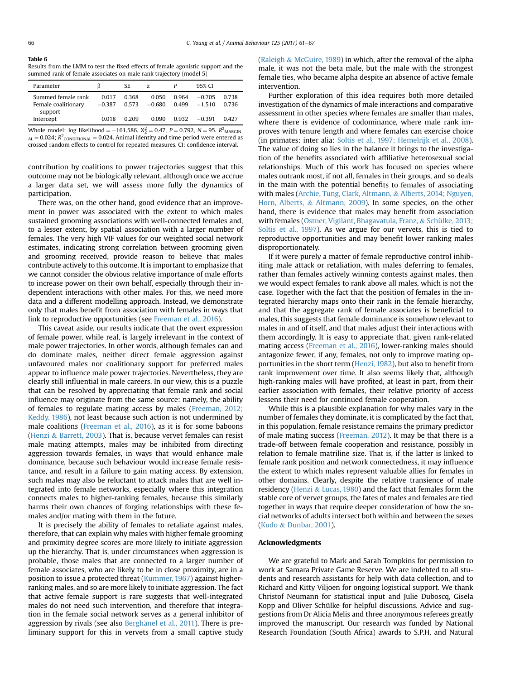<span id="page-5-0"></span>Table 6

Results from the LMM to test the fixed effects of female agonistic support and the summed rank of female associates on male rank trajectory (model 5)

| Parameter                                 |                   | SE.            | Z                 |                | 95% CI               |                |
|-------------------------------------------|-------------------|----------------|-------------------|----------------|----------------------|----------------|
| Summed female rank<br>Female coalitionary | 0.017<br>$-0.387$ | 0.368<br>0.573 | 0.050<br>$-0.680$ | 0.964<br>0.499 | $-0.705$<br>$-1.510$ | 0.738<br>0.736 |
| support<br>Intercept                      | 0.018             | 0.209          | 0.090             | 0.932          | $-0.391$             | 0.427          |

Whole model: log likelihood =  $-161.586$ .  $X_2^2 = 0.47$ ,  $P = 0.792$ ,  $N = 95$ .  $R^2$ <sub>MARGIN</sub>  $_{\text{AL}}$  = 0.024;  $R^2$ <sub>CONDITIONAL</sub> = 0.024. Animal identity and time period were entered as crossed random effects to control for repeated measures. CI: confidence interval.

contribution by coalitions to power trajectories suggest that this outcome may not be biologically relevant, although once we accrue a larger data set, we will assess more fully the dynamics of participation.

There was, on the other hand, good evidence that an improvement in power was associated with the extent to which males sustained grooming associations with well-connected females and, to a lesser extent, by spatial association with a larger number of females. The very high VIF values for our weighted social network estimates, indicating strong correlation between grooming given and grooming received, provide reason to believe that males contribute actively to this outcome. It is important to emphasize that we cannot consider the obvious relative importance of male efforts to increase power on their own behalf, especially through their independent interactions with other males. For this, we need more data and a different modelling approach. Instead, we demonstrate only that males benefit from association with females in ways that link to reproductive opportunities (see [Freeman et al., 2016\)](#page-6-0).

This caveat aside, our results indicate that the overt expression of female power, while real, is largely irrelevant in the context of male power trajectories. In other words, although females can and do dominate males, neither direct female aggression against unfavoured males nor coalitionary support for preferred males appear to influence male power trajectories. Nevertheless, they are clearly still influential in male careers. In our view, this is a puzzle that can be resolved by appreciating that female rank and social influence may originate from the same source: namely, the ability of females to regulate mating access by males [\(Freeman, 2012;](#page-6-0) [Keddy, 1986\)](#page-6-0), not least because such action is not undermined by male coalitions ([Freeman et al., 2016](#page-6-0)), as it is for some baboons ([Henzi](#page-6-0) & [Barrett, 2003](#page-6-0)). That is, because vervet females can resist male mating attempts, males may be inhibited from directing aggression towards females, in ways that would enhance male dominance, because such behaviour would increase female resistance, and result in a failure to gain mating access. By extension, such males may also be reluctant to attack males that are well integrated into female networks, especially where this integration connects males to higher-ranking females, because this similarly harms their own chances of forging relationships with these females and/or mating with them in the future.

It is precisely the ability of females to retaliate against males, therefore, that can explain why males with higher female grooming and proximity degree scores are more likely to initiate aggression up the hierarchy. That is, under circumstances when aggression is probable, those males that are connected to a larger number of female associates, who are likely to be in close proximity, are in a position to issue a protected threat [\(Kummer, 1967](#page-6-0)) against higherranking males, and so are more likely to initiate aggression. The fact that active female support is rare suggests that well-integrated males do not need such intervention, and therefore that integration in the female social network serves as a general inhibitor of aggression by rivals (see also [Bergh](#page-6-0)änel et al., 2011). There is preliminary support for this in vervets from a small captive study ([Raleigh](#page-6-0) & [McGuire, 1989\)](#page-6-0) in which, after the removal of the alpha male, it was not the beta male, but the male with the strongest female ties, who became alpha despite an absence of active female intervention.

Further exploration of this idea requires both more detailed investigation of the dynamics of male interactions and comparative assessment in other species where females are smaller than males, where there is evidence of codominance, where male rank improves with tenure length and where females can exercise choice (in primates: inter alia: [Soltis et al., 1997; Hemelrijk et al., 2008\)](#page-6-0). The value of doing so lies in the balance it brings to the investigation of the benefits associated with affiliative heterosexual social relationships. Much of this work has focused on species where males outrank most, if not all, females in their groups, and so deals in the main with the potential benefits to females of associating with males ([Archie, Tung, Clark, Altmann,](#page-6-0) & [Alberts, 2014; Nguyen,](#page-6-0) [Horn, Alberts,](#page-6-0) & [Altmann, 2009\)](#page-6-0). In some species, on the other hand, there is evidence that males may benefit from association with females [\(Ostner, Vigilant, Bhagavatula, Franz,](#page-6-0) & [Schülke, 2013;](#page-6-0) [Soltis et al., 1997](#page-6-0)). As we argue for our vervets, this is tied to reproductive opportunities and may benefit lower ranking males disproportionately.

If it were purely a matter of female reproductive control inhibiting male attack or retaliation, with males deferring to females, rather than females actively winning contests against males, then we would expect females to rank above all males, which is not the case. Together with the fact that the position of females in the integrated hierarchy maps onto their rank in the female hierarchy, and that the aggregate rank of female associates is beneficial to males, this suggests that female dominance is somehow relevant to males in and of itself, and that males adjust their interactions with them accordingly. It is easy to appreciate that, given rank-related mating access ([Freeman et al., 2016](#page-6-0)), lower-ranking males should antagonize fewer, if any, females, not only to improve mating opportunities in the short term [\(Henzi, 1982\)](#page-6-0), but also to benefit from rank improvement over time. It also seems likely that, although high-ranking males will have profited, at least in part, from their earlier association with females, their relative priority of access lessens their need for continued female cooperation.

While this is a plausible explanation for why males vary in the number of females they dominate, it is complicated by the fact that, in this population, female resistance remains the primary predictor of male mating success [\(Freeman, 2012](#page-6-0)). It may be that there is a trade-off between female cooperation and resistance, possibly in relation to female matriline size. That is, if the latter is linked to female rank position and network connectedness, it may influence the extent to which males represent valuable allies for females in other domains. Clearly, despite the relative transience of male residency [\(Henzi](#page-6-0) & [Lucas, 1980\)](#page-6-0) and the fact that females form the stable core of vervet groups, the fates of males and females are tied together in ways that require deeper consideration of how the social networks of adults intersect both within and between the sexes ([Kudo](#page-6-0) & [Dunbar, 2001\)](#page-6-0).

#### Acknowledgments

We are grateful to Mark and Sarah Tompkins for permission to work at Samara Private Game Reserve. We are indebted to all students and research assistants for help with data collection, and to Richard and Kitty Viljoen for ongoing logistical support. We thank Christof Neumann for statistical input and Julie Duboscq, Gisela Kopp and Oliver Schülke for helpful discussions. Advice and suggestions from Dr Alicia Melis and three anonymous referees greatly improved the manuscript. Our research was funded by National Research Foundation (South Africa) awards to S.P.H. and Natural